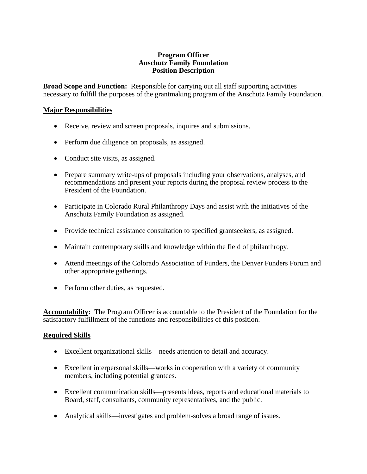#### **Program Officer Anschutz Family Foundation Position Description**

**Broad Scope and Function:** Responsible for carrying out all staff supporting activities necessary to fulfill the purposes of the grantmaking program of the Anschutz Family Foundation.

### **Major Responsibilities**

- Receive, review and screen proposals, inquires and submissions.
- Perform due diligence on proposals, as assigned.
- Conduct site visits, as assigned.
- Prepare summary write-ups of proposals including your observations, analyses, and recommendations and present your reports during the proposal review process to the President of the Foundation.
- Participate in Colorado Rural Philanthropy Days and assist with the initiatives of the Anschutz Family Foundation as assigned.
- Provide technical assistance consultation to specified grantseekers, as assigned.
- Maintain contemporary skills and knowledge within the field of philanthropy.
- Attend meetings of the Colorado Association of Funders, the Denver Funders Forum and other appropriate gatherings.
- Perform other duties, as requested.

**Accountability:** The Program Officer is accountable to the President of the Foundation for the satisfactory fulfillment of the functions and responsibilities of this position.

## **Required Skills**

- Excellent organizational skills—needs attention to detail and accuracy.
- Excellent interpersonal skills—works in cooperation with a variety of community members, including potential grantees.
- Excellent communication skills—presents ideas, reports and educational materials to Board, staff, consultants, community representatives, and the public.
- Analytical skills—investigates and problem-solves a broad range of issues.